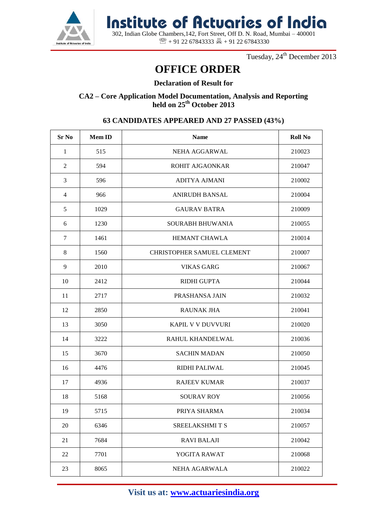

 302, Indian Globe Chambers,142, Fort Street, Off D. N. Road, Mumbai – 400001 **Institute of Actuaries of India**

 $\mathbb{R}$  + 91 22 67843333  $\mathbb{R}$  + 91 22 67843330

Tuesday, 24<sup>th</sup> December 2013

### **OFFICE ORDER**

### **Declaration of Result for**

**CA2 – Core Application Model Documentation, Analysis and Reporting held on 25th October 2013**

## **Sr No Mem ID Name Roll No** 1 | 515 | NEHA AGGARWAL | 210023 2 | 594 | ROHIT AJGAONKAR | 210047 3 596 ADITYA AJMANI 210002 4 | 966 | ANIRUDH BANSAL | 210004 5 1029 GAURAV BATRA 210009 6 1230 SOURABH BHUWANIA 210055 7 | 1461 | HEMANT CHAWLA | 210014 8 | 1560 | CHRISTOPHER SAMUEL CLEMENT | 210007 9 2010 VIKAS GARG 210067 10 2412 RIDHI GUPTA 210044 11 2717 PRASHANSA JAIN 210032 12 2850 | RAUNAK JHA 210041 13 3050 KAPIL V V DUVVURI 210020 14 3222 RAHUL KHANDELWAL 210036 15 3670 SACHIN MADAN 210050 16 4476 RIDHI PALIWAL 210045 17 | 4936 | RAJEEV KUMAR | 210037 18 5168 SOURAV ROY 210056 19 | 5715 | PRIYA SHARMA | 210034 20 6346 | SREELAKSHMI T S 210057 21 7684 RAVI BALAJI 210042 22 | 7701 | YOGITA RAWAT | 210068 23 8065 NEHA AGARWALA 210022

### **63 CANDIDATES APPEARED AND 27 PASSED (43%)**

**Visit us at: www.actuariesindia.org**